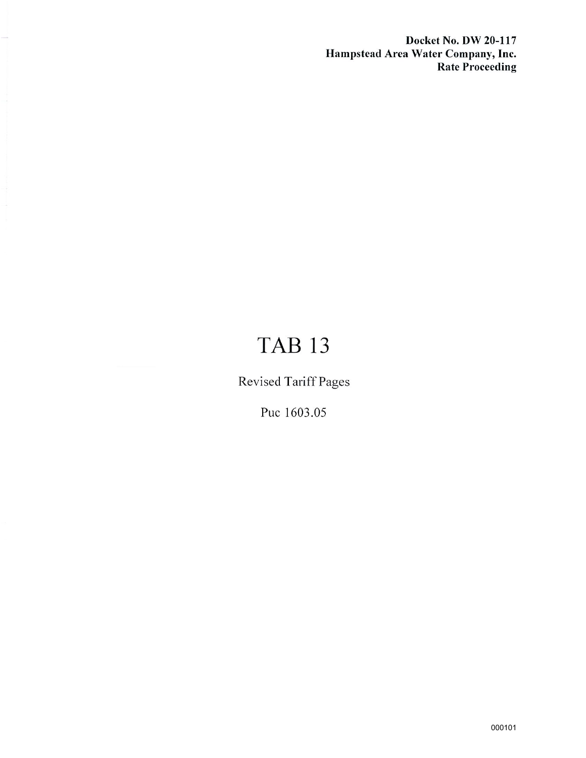**Docket No. DW 20-117 Hampstead Area Water Company, Inc. Rate Proceeding** 

# **TAB 13**

Revised Tariff Pages

Puc 1603.05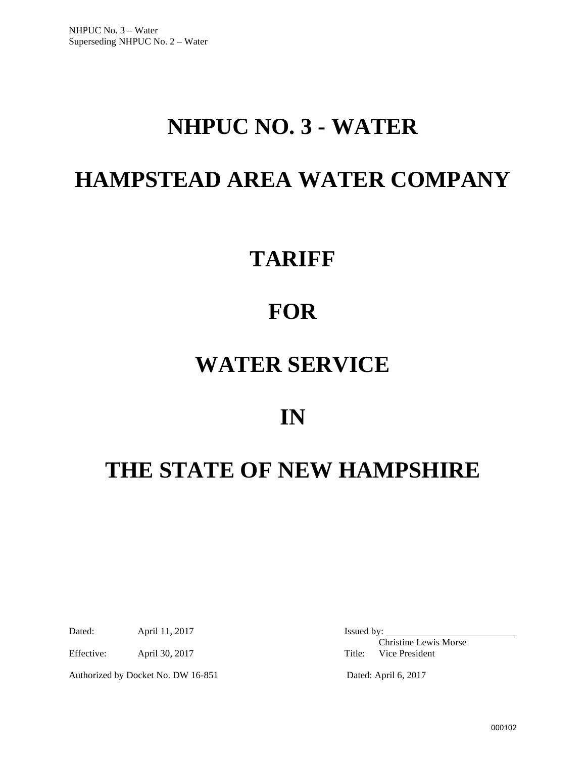# **NHPUC NO. 3 - WATER**

# **HAMPSTEAD AREA WATER COMPANY**

# **TARIFF**

# **FOR**

# **WATER SERVICE**

## **IN**

# **THE STATE OF NEW HAMPSHIRE**

Dated: April 11, 2017 Issued by:

Effective: April 30, 2017 Title: Vice President

Authorized by Docket No. DW 16-851 Dated: April 6, 2017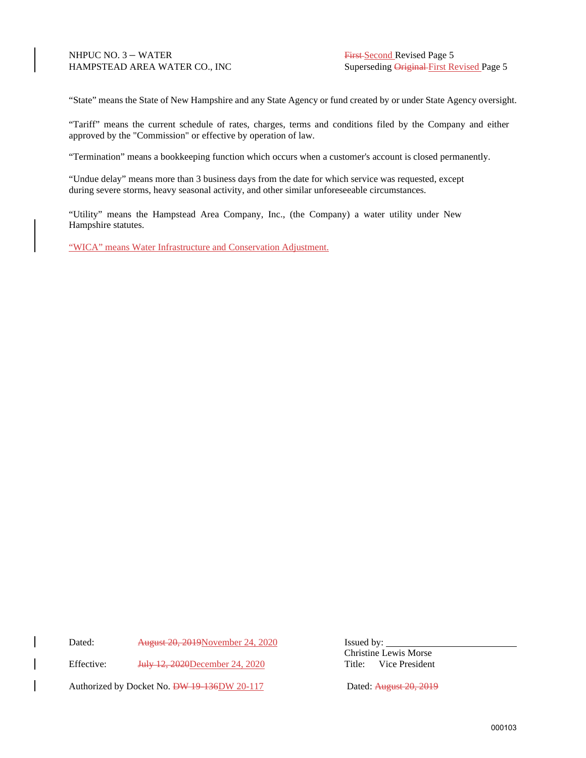"State" means the State of New Hampshire and any State Agency or fund created by or under State Agency oversight.

"Tariff" means the current schedule of rates, charges, terms and conditions filed by the Company and either approved by the "Commission" or effective by operation of law.

"Termination" means a bookkeeping function which occurs when a customer's account is closed permanently.

"Undue delay" means more than 3 business days from the date for which service was requested, except during severe storms, heavy seasonal activity, and other similar unforeseeable circumstances.

"Utility" means the Hampstead Area Company, Inc., (the Company) a water utility under New Hampshire statutes.

"WICA" means Water Infrastructure and Conservation Adjustment.

Dated: August 20, 2019November 24, 2020 Issued by:

Effective: <del>July 12, 2020</del>December 24, 2020 Title: Vice President

Authorized by Docket No. **DW 19-136DW 20-117** Dated: August 20, 2019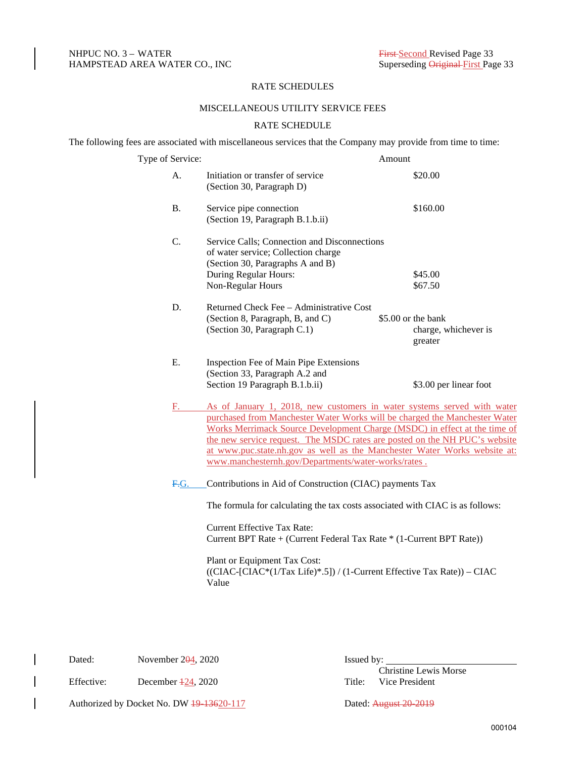### RATE SCHEDULES

### MISCELLANEOUS UTILITY SERVICE FEES

### RATE SCHEDULE

The following fees are associated with miscellaneous services that the Company may provide from time to time:

| Type of Service: |                                                                                                                                                                                                                                                                                                                                                                                                                                                      | Amount                                                |
|------------------|------------------------------------------------------------------------------------------------------------------------------------------------------------------------------------------------------------------------------------------------------------------------------------------------------------------------------------------------------------------------------------------------------------------------------------------------------|-------------------------------------------------------|
| A.               | Initiation or transfer of service<br>(Section 30, Paragraph D)                                                                                                                                                                                                                                                                                                                                                                                       | \$20.00                                               |
| <b>B.</b>        | Service pipe connection<br>(Section 19, Paragraph B.1.b.ii)                                                                                                                                                                                                                                                                                                                                                                                          | \$160.00                                              |
| C.               | Service Calls; Connection and Disconnections<br>of water service; Collection charge<br>(Section 30, Paragraphs A and B)<br>During Regular Hours:<br>Non-Regular Hours                                                                                                                                                                                                                                                                                | \$45.00<br>\$67.50                                    |
| D.               | Returned Check Fee - Administrative Cost<br>(Section 8, Paragraph, B, and C)<br>(Section 30, Paragraph C.1)                                                                                                                                                                                                                                                                                                                                          | \$5.00 or the bank<br>charge, whichever is<br>greater |
| E.               | Inspection Fee of Main Pipe Extensions<br>(Section 33, Paragraph A.2 and<br>Section 19 Paragraph B.1.b.ii)                                                                                                                                                                                                                                                                                                                                           | \$3.00 per linear foot                                |
| E.               | As of January 1, 2018, new customers in water systems served with water<br>purchased from Manchester Water Works will be charged the Manchester Water<br>Works Merrimack Source Development Charge (MSDC) in effect at the time of<br>the new service request. The MSDC rates are posted on the NH PUC's website<br>at www.puc.state.nh.gov as well as the Manchester Water Works website at:<br>www.manchesternh.gov/Departments/water-works/rates. |                                                       |
| F.G.             | Contributions in Aid of Construction (CIAC) payments Tax<br>The formula for calculating the tax costs associated with CIAC is as follows:<br><b>Current Effective Tax Rate:</b><br>Current BPT Rate + (Current Federal Tax Rate * (1-Current BPT Rate))                                                                                                                                                                                              |                                                       |
|                  | Plant or Equipment Tax Cost:<br>((CIAC-[CIAC*(1/Tax Life)*.5]) / (1-Current Effective Tax Rate)) - CIAC                                                                                                                                                                                                                                                                                                                                              |                                                       |

Value

Dated: November 204, 2020 Issued by:

Effective: December 424, 2020 Title: Vice President

Christine Lewis Morse

Authorized by Docket No. DW 49-13620-117 Dated: August 20-2019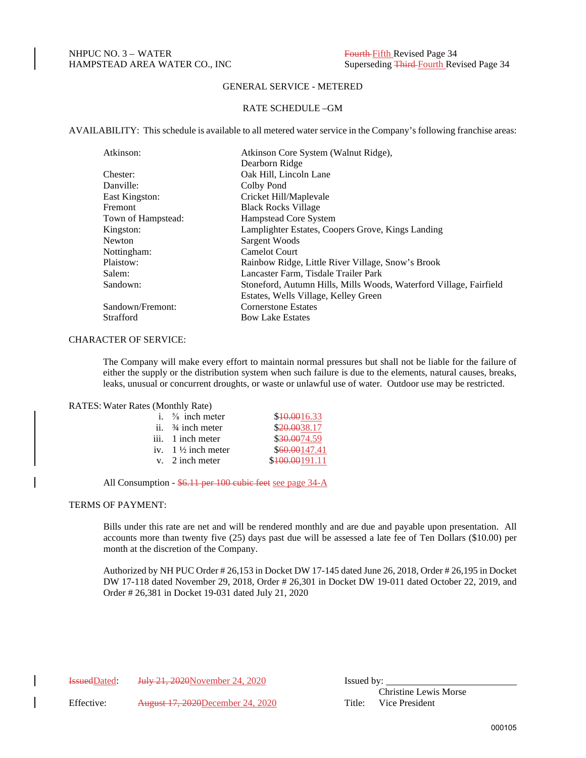### RATE SCHEDULE –GM

AVAILABILITY: This schedule is available to all metered water service in the Company's following franchise areas:

| Atkinson Core System (Walnut Ridge),                               |
|--------------------------------------------------------------------|
| Dearborn Ridge                                                     |
| Oak Hill, Lincoln Lane                                             |
| Colby Pond                                                         |
| Cricket Hill/Maplevale                                             |
| <b>Black Rocks Village</b>                                         |
| Hampstead Core System                                              |
| Lamplighter Estates, Coopers Grove, Kings Landing                  |
| Sargent Woods                                                      |
| <b>Camelot Court</b>                                               |
| Rainbow Ridge, Little River Village, Snow's Brook                  |
| Lancaster Farm, Tisdale Trailer Park                               |
| Stoneford, Autumn Hills, Mills Woods, Waterford Village, Fairfield |
| Estates, Wells Village, Kelley Green                               |
| <b>Cornerstone Estates</b>                                         |
| <b>Bow Lake Estates</b>                                            |
|                                                                    |

#### CHARACTER OF SERVICE:

The Company will make every effort to maintain normal pressures but shall not be liable for the failure of either the supply or the distribution system when such failure is due to the elements, natural causes, breaks, leaks, unusual or concurrent droughts, or waste or unlawful use of water. Outdoor use may be restricted.

#### RATES: Water Rates (Monthly Rate)

| i. $\frac{5}{8}$ inch meter   | \$10.0016.33   |
|-------------------------------|----------------|
| ii. $\frac{3}{4}$ inch meter  | \$20,0038.17   |
| iii. 1 inch meter             | \$30.0074.59   |
| iv. $1\frac{1}{2}$ inch meter | \$60,00147.41  |
| $v.$ 2 inch meter             | \$100.00191.11 |

All Consumption - \$6.11 per 100 cubic feet see page 34-A

### TERMS OF PAYMENT:

Bills under this rate are net and will be rendered monthly and are due and payable upon presentation. All accounts more than twenty five (25) days past due will be assessed a late fee of Ten Dollars (\$10.00) per month at the discretion of the Company.

Authorized by NH PUC Order # 26,153 in Docket DW 17-145 dated June 26, 2018, Order # 26,195 in Docket DW 17-118 dated November 29, 2018, Order # 26,301 in Docket DW 19-011 dated October 22, 2019, and Order # 26,381 in Docket 19-031 dated July 21, 2020

IssuedDated: July 21, 2020November 24, 2020 Issued by:

Effective: August 17, 2020December 24, 2020 Title: Vice President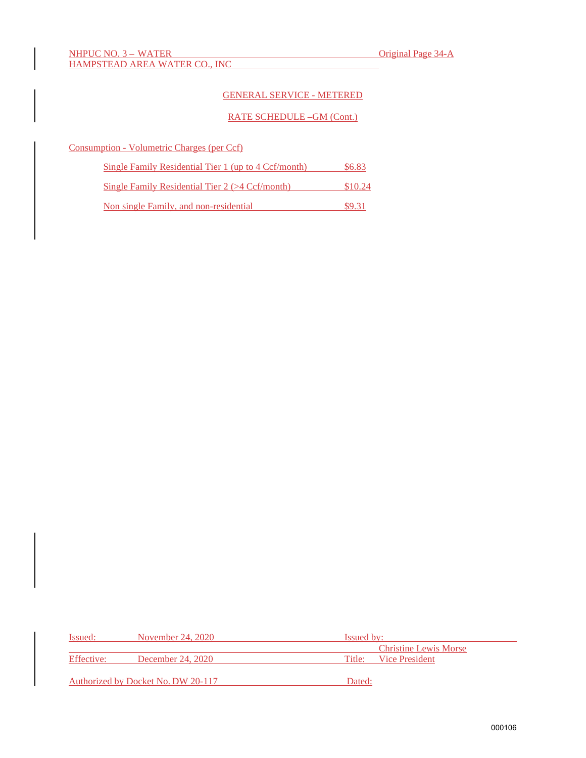## RATE SCHEDULE –GM (Cont.)

| Consumption - Volumetric Charges (per Ccf) |  |  |
|--------------------------------------------|--|--|
|                                            |  |  |

| Single Family Residential Tier 1 (up to 4 Ccf/month) | \$6.83  |
|------------------------------------------------------|---------|
| Single Family Residential Tier $2$ ( $>4$ Ccf/month) | \$10.24 |
| Non single Family, and non-residential               | \$9.31  |

| Issued:    | November 24, 2020                  | <b>Issued by:</b>            |  |
|------------|------------------------------------|------------------------------|--|
|            |                                    | <b>Christine Lewis Morse</b> |  |
| Effective: | December 24, 2020                  | Vice President<br>Title:     |  |
|            | Authorized by Docket No. DW 20-117 | Dated:                       |  |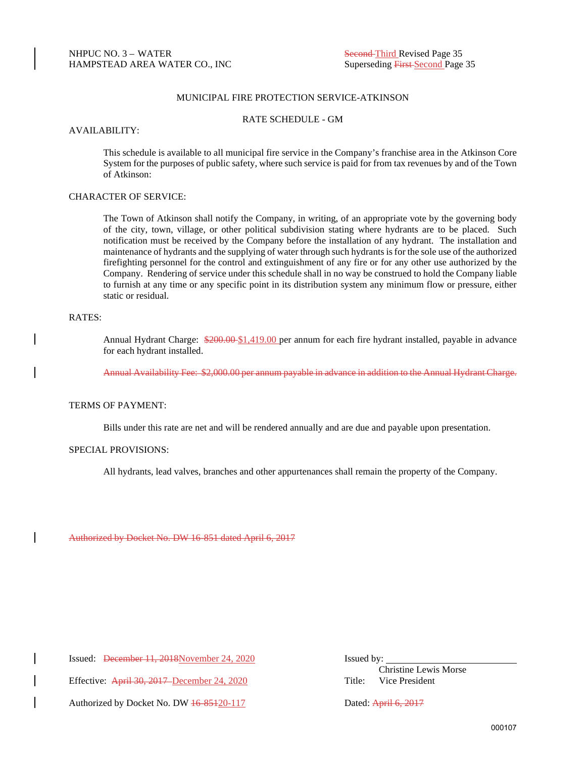### MUNICIPAL FIRE PROTECTION SERVICE-ATKINSON

#### RATE SCHEDULE - GM

#### AVAILABILITY:

This schedule is available to all municipal fire service in the Company's franchise area in the Atkinson Core System for the purposes of public safety, where such service is paid for from tax revenues by and of the Town of Atkinson:

## CHARACTER OF SERVICE:

The Town of Atkinson shall notify the Company, in writing, of an appropriate vote by the governing body of the city, town, village, or other political subdivision stating where hydrants are to be placed. Such notification must be received by the Company before the installation of any hydrant. The installation and maintenance of hydrants and the supplying of water through such hydrants is for the sole use of the authorized firefighting personnel for the control and extinguishment of any fire or for any other use authorized by the Company. Rendering of service under this schedule shall in no way be construed to hold the Company liable to furnish at any time or any specific point in its distribution system any minimum flow or pressure, either static or residual.

### RATES:

Annual Hydrant Charge: \$200.00 \$1,419.00 per annum for each fire hydrant installed, payable in advance for each hydrant installed.

Annual Availability Fee: \$2,000.00 per annum payable in advance in addition to the Annual Hydrant Charge.

### TERMS OF PAYMENT:

Bills under this rate are net and will be rendered annually and are due and payable upon presentation.

#### SPECIAL PROVISIONS:

All hydrants, lead valves, branches and other appurtenances shall remain the property of the Company.

Authorized by Docket No. DW 16-851 dated April 6, 2017

Issued: December 11, 2018November 24, 2020 Issued by:

 Christine Lewis Morse Effective: April 30, 2017 December 24, 2020 Title: Vice President

Authorized by Docket No. DW  $\frac{16-85120-117}{20}$  Dated: April 6, 2017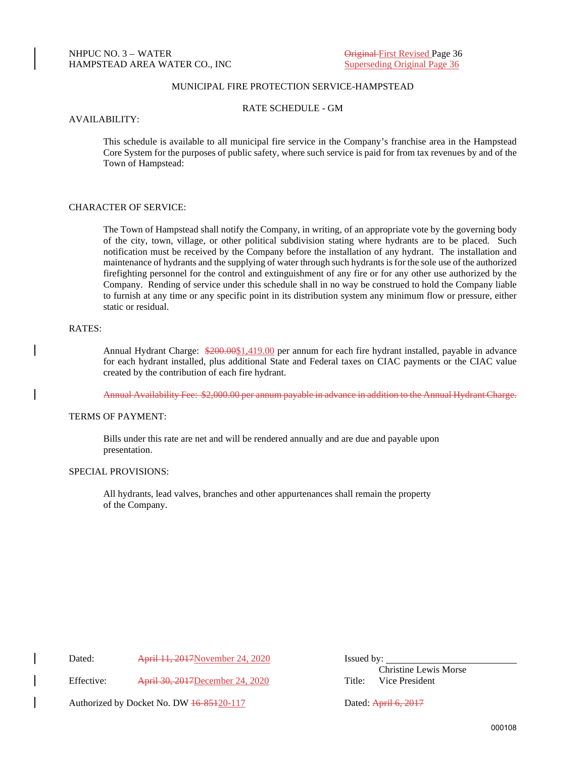### MUNICIPAL FIRE PROTECTION SERVICE-HAMPSTEAD

RATE SCHEDULE - GM

#### AVAILABILITY:

This schedule is available to all municipal fire service in the Company's franchise area in the Hampstead Core System for the purposes of public safety, where such service is paid for from tax revenues by and of the Town of Hampstead:

### CHARACTER OF SERVICE:

The Town of Hampstead shall notify the Company, in writing, of an appropriate vote by the governing body of the city, town, village, or other political subdivision stating where hydrants are to be placed. Such notification must be received by the Company before the installation of any hydrant. The installation and maintenance of hydrants and the supplying of water through such hydrants is for the sole use of the authorized firefighting personnel for the control and extinguishment of any fire or for any other use authorized by the Company. Rending of service under this schedule shall in no way be construed to hold the Company liable to furnish at any time or any specific point in its distribution system any minimum flow or pressure, either static or residual.

#### RATES:

Annual Hydrant Charge: \$200.00\$1,419.00 per annum for each fire hydrant installed, payable in advance for each hydrant installed, plus additional State and Federal taxes on CIAC payments or the CIAC value created by the contribution of each fire hydrant.

Annual Availability Fee: \$2,000.00 per annum payable in advance in addition to the Annual Hydrant Charge.

#### TERMS OF PAYMENT:

Bills under this rate are net and will be rendered annually and are due and payable upon presentation.

### SPECIAL PROVISIONS:

All hydrants, lead valves, branches and other appurtenances shall remain the property of the Company.

Dated: April 11, 2017November 24, 2020 Issued by:

Effective: April 30, 2017December 24, 2020 Title: Vice President

Christine Lewis Morse

Authorized by Docket No. DW  $\frac{16-85120-117}{20}$  Dated: April 6, 2017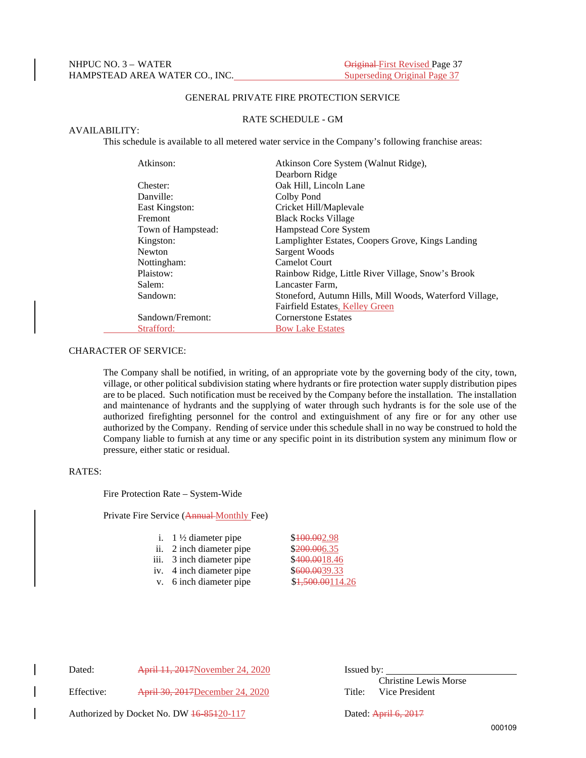### GENERAL PRIVATE FIRE PROTECTION SERVICE

### RATE SCHEDULE - GM

### AVAILABILITY:

This schedule is available to all metered water service in the Company's following franchise areas:

| Atkinson:          | Atkinson Core System (Walnut Ridge),                    |
|--------------------|---------------------------------------------------------|
|                    | Dearborn Ridge                                          |
| Chester:           | Oak Hill, Lincoln Lane                                  |
| Danville:          | Colby Pond                                              |
| East Kingston:     | Cricket Hill/Maplevale                                  |
| Fremont            | <b>Black Rocks Village</b>                              |
| Town of Hampstead: | Hampstead Core System                                   |
| Kingston:          | Lamplighter Estates, Coopers Grove, Kings Landing       |
| <b>Newton</b>      | Sargent Woods                                           |
| Nottingham:        | <b>Camelot Court</b>                                    |
| Plaistow:          | Rainbow Ridge, Little River Village, Snow's Brook       |
| Salem:             | Lancaster Farm,                                         |
| Sandown:           | Stoneford, Autumn Hills, Mill Woods, Waterford Village, |
|                    | Fairfield Estates, Kelley Green                         |
| Sandown/Fremont:   | <b>Cornerstone Estates</b>                              |
| Strafford:         | <b>Bow Lake Estates</b>                                 |

### CHARACTER OF SERVICE:

The Company shall be notified, in writing, of an appropriate vote by the governing body of the city, town, village, or other political subdivision stating where hydrants or fire protection water supply distribution pipes are to be placed. Such notification must be received by the Company before the installation. The installation and maintenance of hydrants and the supplying of water through such hydrants is for the sole use of the authorized firefighting personnel for the control and extinguishment of any fire or for any other use authorized by the Company. Rending of service under this schedule shall in no way be construed to hold the Company liable to furnish at any time or any specific point in its distribution system any minimum flow or pressure, either static or residual.

#### RATES:

Fire Protection Rate – System-Wide

Private Fire Service (Annual Monthly Fee)

| i. $1\frac{1}{2}$ diameter pipe | \$400.002.98     |
|---------------------------------|------------------|
| ii. 2 inch diameter pipe        | \$200.006.35     |
| iii. 3 inch diameter pipe       | \$400.0018.46    |
| iv. 4 inch diameter pipe        | \$600.0039.33    |
| v. 6 inch diameter pipe         | \$1,500.00114.26 |

Dated: April 11, 2017November 24, 2020 Issued by:

 Christine Lewis Morse Effective: April 30, 2017December 24, 2020 Title: Vice President

Authorized by Docket No. DW  $\frac{16-85120-117}{20}$  Dated: April 6, 2017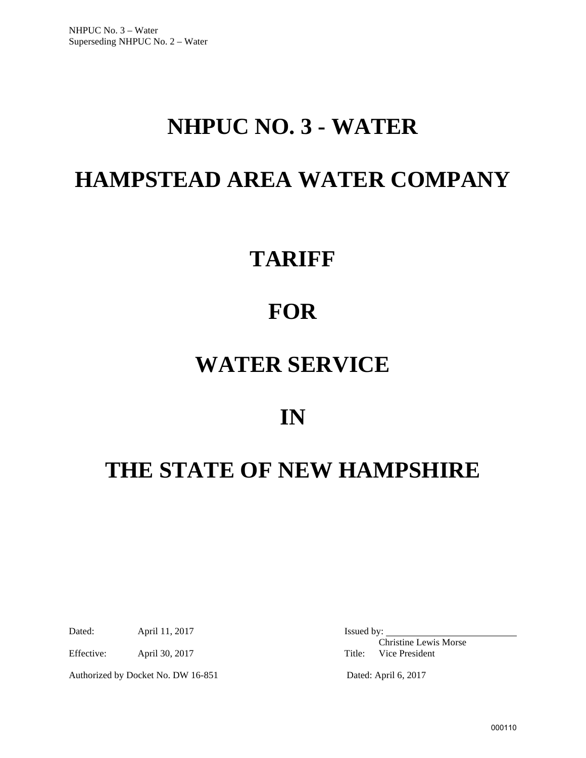# **NHPUC NO. 3 - WATER**

# **HAMPSTEAD AREA WATER COMPANY**

# **TARIFF**

# **FOR**

# **WATER SERVICE**

## **IN**

# **THE STATE OF NEW HAMPSHIRE**

Dated: April 11, 2017 Issued by:

Effective: April 30, 2017 Title: Vice President

Authorized by Docket No. DW 16-851 Dated: April 6, 2017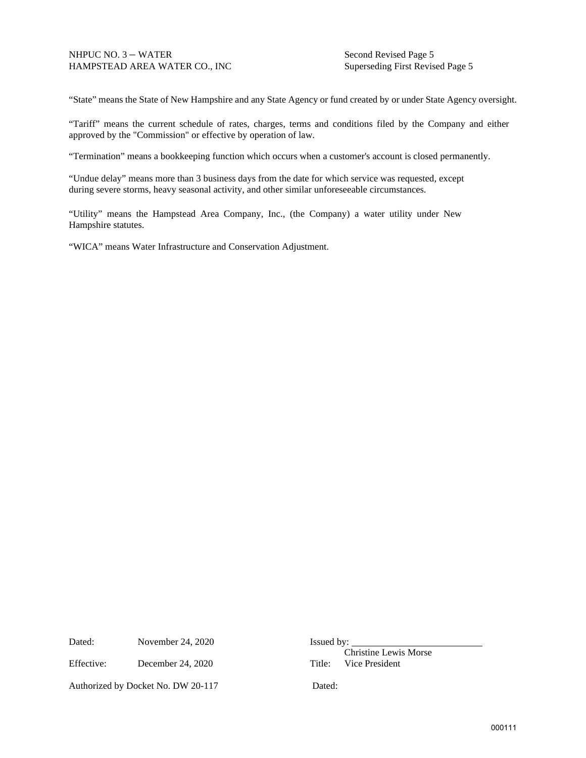"State" means the State of New Hampshire and any State Agency or fund created by or under State Agency oversight.

"Tariff" means the current schedule of rates, charges, terms and conditions filed by the Company and either approved by the "Commission" or effective by operation of law.

"Termination" means a bookkeeping function which occurs when a customer's account is closed permanently.

"Undue delay" means more than 3 business days from the date for which service was requested, except during severe storms, heavy seasonal activity, and other similar unforeseeable circumstances.

"Utility" means the Hampstead Area Company, Inc., (the Company) a water utility under New Hampshire statutes.

"WICA" means Water Infrastructure and Conservation Adjustment.

Dated: November 24, 2020 Issued by:

Effective: December 24, 2020 Title: Vice President

Authorized by Docket No. DW 20-117 Dated: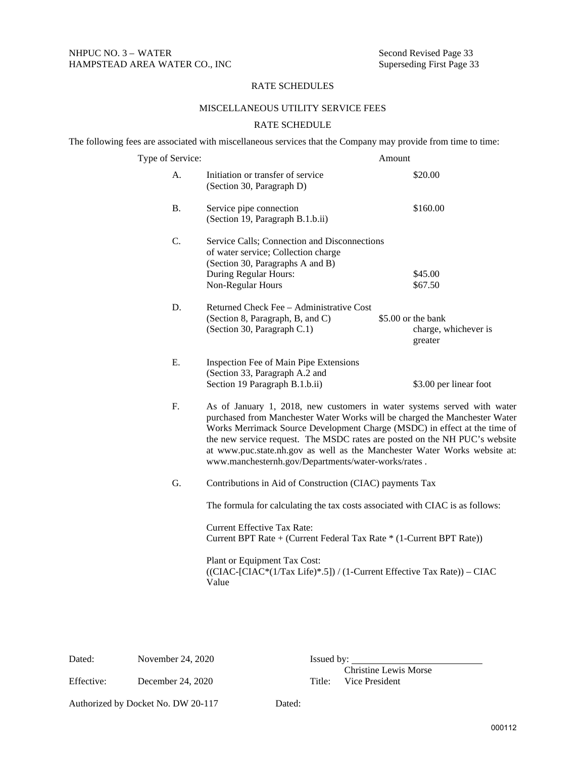### RATE SCHEDULES

### MISCELLANEOUS UTILITY SERVICE FEES

### RATE SCHEDULE

The following fees are associated with miscellaneous services that the Company may provide from time to time:

| Type of Service: |                                                                                                                                                                                                                                                                                                                                                                                                                                                      | Amount |                                                       |
|------------------|------------------------------------------------------------------------------------------------------------------------------------------------------------------------------------------------------------------------------------------------------------------------------------------------------------------------------------------------------------------------------------------------------------------------------------------------------|--------|-------------------------------------------------------|
| A.               | Initiation or transfer of service<br>(Section 30, Paragraph D)                                                                                                                                                                                                                                                                                                                                                                                       |        | \$20.00                                               |
| <b>B.</b>        | Service pipe connection<br>(Section 19, Paragraph B.1.b.ii)                                                                                                                                                                                                                                                                                                                                                                                          |        | \$160.00                                              |
| C.               | Service Calls; Connection and Disconnections<br>of water service; Collection charge<br>(Section 30, Paragraphs A and B)<br>During Regular Hours:<br>Non-Regular Hours                                                                                                                                                                                                                                                                                |        | \$45.00<br>\$67.50                                    |
| D.               | Returned Check Fee - Administrative Cost<br>(Section 8, Paragraph, B, and C)<br>(Section 30, Paragraph C.1)                                                                                                                                                                                                                                                                                                                                          |        | \$5.00 or the bank<br>charge, whichever is<br>greater |
| Ε.               | Inspection Fee of Main Pipe Extensions<br>(Section 33, Paragraph A.2 and<br>Section 19 Paragraph B.1.b.ii)                                                                                                                                                                                                                                                                                                                                           |        | \$3.00 per linear foot                                |
| F.               | As of January 1, 2018, new customers in water systems served with water<br>purchased from Manchester Water Works will be charged the Manchester Water<br>Works Merrimack Source Development Charge (MSDC) in effect at the time of<br>the new service request. The MSDC rates are posted on the NH PUC's website<br>at www.puc.state.nh.gov as well as the Manchester Water Works website at:<br>www.manchesternh.gov/Departments/water-works/rates. |        |                                                       |
| G.               | Contributions in Aid of Construction (CIAC) payments Tax                                                                                                                                                                                                                                                                                                                                                                                             |        |                                                       |
|                  | The formula for calculating the tax costs associated with CIAC is as follows:                                                                                                                                                                                                                                                                                                                                                                        |        |                                                       |
|                  | <b>Current Effective Tax Rate:</b><br>Current BPT Rate + (Current Federal Tax Rate * (1-Current BPT Rate))                                                                                                                                                                                                                                                                                                                                           |        |                                                       |
|                  | Plant or Equipment Tax Cost:<br>((CIAC-[CIAC*(1/Tax Life)*.5]) / (1-Current Effective Tax Rate)) – CIAC                                                                                                                                                                                                                                                                                                                                              |        |                                                       |

Value

Dated: November 24, 2020 Issued by: Christine Lewis Morse Effective: December 24, 2020 Title: Vice President

Authorized by Docket No. DW 20-117 Dated: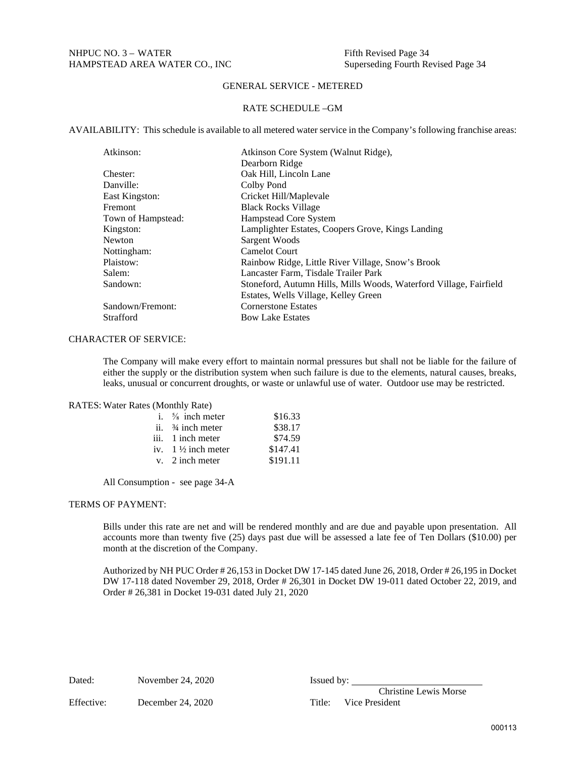### RATE SCHEDULE –GM

AVAILABILITY: This schedule is available to all metered water service in the Company's following franchise areas:

| Atkinson:          | Atkinson Core System (Walnut Ridge),                               |
|--------------------|--------------------------------------------------------------------|
|                    | Dearborn Ridge                                                     |
| Chester:           | Oak Hill, Lincoln Lane                                             |
| Danville:          | Colby Pond                                                         |
| East Kingston:     | Cricket Hill/Maplevale                                             |
| <b>Fremont</b>     | <b>Black Rocks Village</b>                                         |
| Town of Hampstead: | Hampstead Core System                                              |
| Kingston:          | Lamplighter Estates, Coopers Grove, Kings Landing                  |
| Newton             | Sargent Woods                                                      |
| Nottingham:        | <b>Camelot Court</b>                                               |
| Plaistow:          | Rainbow Ridge, Little River Village, Snow's Brook                  |
| Salem:             | Lancaster Farm, Tisdale Trailer Park                               |
| Sandown:           | Stoneford, Autumn Hills, Mills Woods, Waterford Village, Fairfield |
|                    | Estates, Wells Village, Kelley Green                               |
| Sandown/Fremont:   | <b>Cornerstone Estates</b>                                         |
| Strafford          | <b>Bow Lake Estates</b>                                            |

### CHARACTER OF SERVICE:

The Company will make every effort to maintain normal pressures but shall not be liable for the failure of either the supply or the distribution system when such failure is due to the elements, natural causes, breaks, leaks, unusual or concurrent droughts, or waste or unlawful use of water. Outdoor use may be restricted.

### RATES: Water Rates (Monthly Rate)

| i. $\frac{5}{8}$ inch meter   | \$16.33  |
|-------------------------------|----------|
| ii. $\frac{3}{4}$ inch meter  | \$38.17  |
| iii. 1 inch meter             | \$74.59  |
| iv. $1\frac{1}{2}$ inch meter | \$147.41 |
| $v.$ 2 inch meter             | \$191.11 |

All Consumption - see page 34-A

### TERMS OF PAYMENT:

Bills under this rate are net and will be rendered monthly and are due and payable upon presentation. All accounts more than twenty five (25) days past due will be assessed a late fee of Ten Dollars (\$10.00) per month at the discretion of the Company.

Authorized by NH PUC Order # 26,153 in Docket DW 17-145 dated June 26, 2018, Order # 26,195 in Docket DW 17-118 dated November 29, 2018, Order # 26,301 in Docket DW 19-011 dated October 22, 2019, and Order # 26,381 in Docket 19-031 dated July 21, 2020

Dated: November 24, 2020 Issued by:

Effective: December 24, 2020 Title: Vice President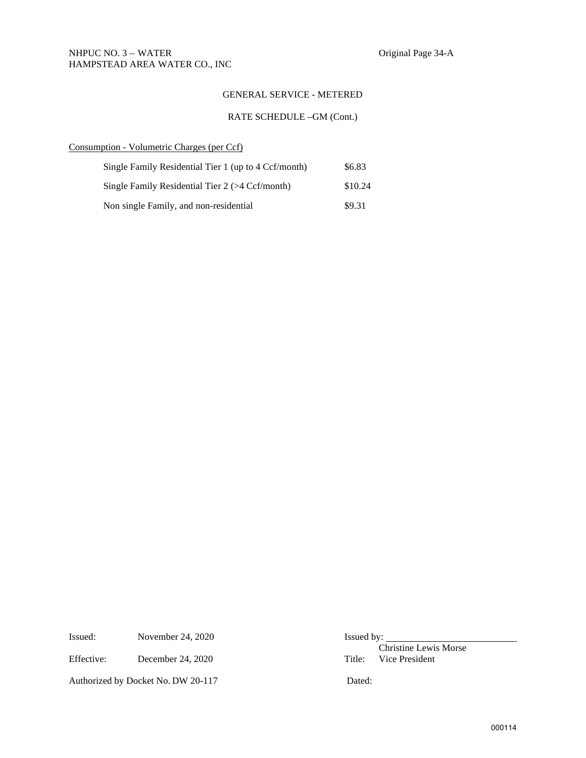### RATE SCHEDULE –GM (Cont.)

### Consumption - Volumetric Charges (per Ccf)

| Single Family Residential Tier 1 (up to 4 Ccf/month) | \$6.83  |
|------------------------------------------------------|---------|
| Single Family Residential Tier $2$ ( $>4$ Ccf/month) | \$10.24 |
| Non single Family, and non-residential               | \$9.31  |

Issued: November 24, 2020 Issued by:

Authorized by Docket No. DW 20-117 Dated:

Effective: December 24, 2020<br>
Title: Vice President Title: Vice President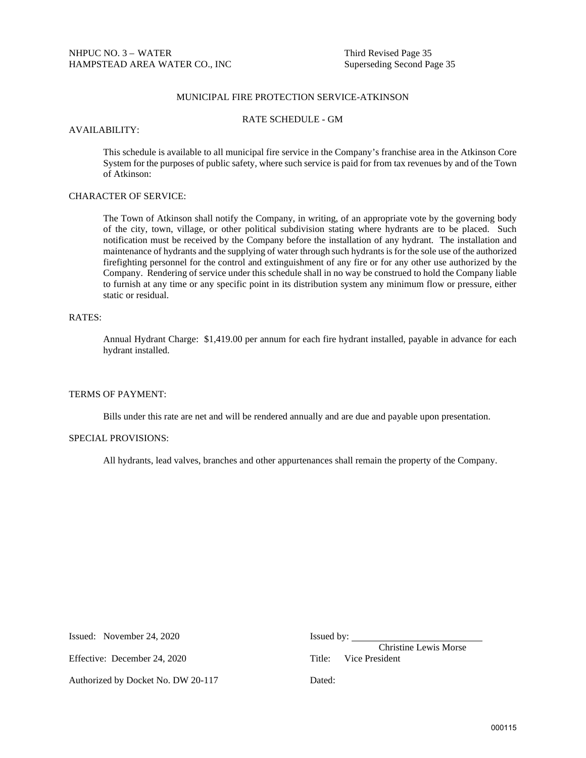### MUNICIPAL FIRE PROTECTION SERVICE-ATKINSON

### RATE SCHEDULE - GM

### AVAILABILITY:

This schedule is available to all municipal fire service in the Company's franchise area in the Atkinson Core System for the purposes of public safety, where such service is paid for from tax revenues by and of the Town of Atkinson:

## CHARACTER OF SERVICE:

The Town of Atkinson shall notify the Company, in writing, of an appropriate vote by the governing body of the city, town, village, or other political subdivision stating where hydrants are to be placed. Such notification must be received by the Company before the installation of any hydrant. The installation and maintenance of hydrants and the supplying of water through such hydrants is for the sole use of the authorized firefighting personnel for the control and extinguishment of any fire or for any other use authorized by the Company. Rendering of service under this schedule shall in no way be construed to hold the Company liable to furnish at any time or any specific point in its distribution system any minimum flow or pressure, either static or residual.

### RATES:

Annual Hydrant Charge: \$1,419.00 per annum for each fire hydrant installed, payable in advance for each hydrant installed.

### TERMS OF PAYMENT:

Bills under this rate are net and will be rendered annually and are due and payable upon presentation.

### SPECIAL PROVISIONS:

All hydrants, lead valves, branches and other appurtenances shall remain the property of the Company.

| Issued: November 24, 2020          | Issued 1 |
|------------------------------------|----------|
| Effective: December 24, 2020       | Title:   |
| Authorized by Docket No. DW 20-117 | Dated:   |

Issued by:

 Christine Lewis Morse Title: Vice President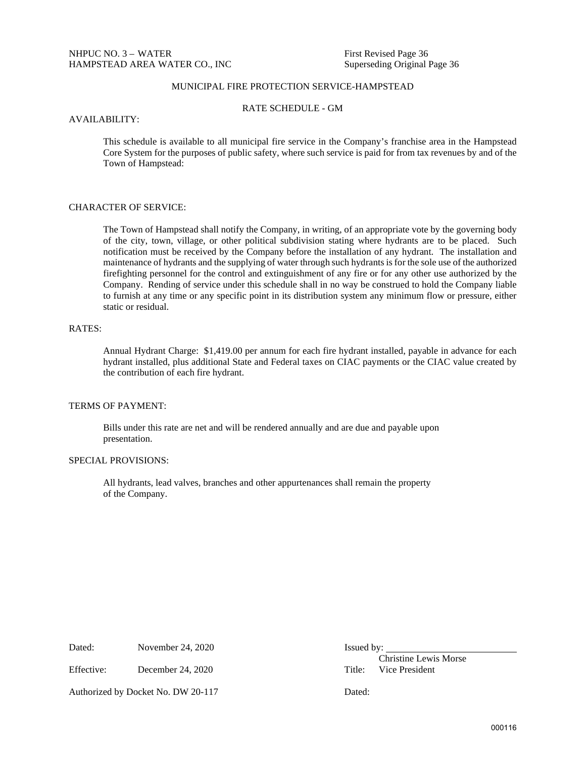## MUNICIPAL FIRE PROTECTION SERVICE-HAMPSTEAD

RATE SCHEDULE - GM

#### AVAILABILITY:

This schedule is available to all municipal fire service in the Company's franchise area in the Hampstead Core System for the purposes of public safety, where such service is paid for from tax revenues by and of the Town of Hampstead:

### CHARACTER OF SERVICE:

The Town of Hampstead shall notify the Company, in writing, of an appropriate vote by the governing body of the city, town, village, or other political subdivision stating where hydrants are to be placed. Such notification must be received by the Company before the installation of any hydrant. The installation and maintenance of hydrants and the supplying of water through such hydrants is for the sole use of the authorized firefighting personnel for the control and extinguishment of any fire or for any other use authorized by the Company. Rending of service under this schedule shall in no way be construed to hold the Company liable to furnish at any time or any specific point in its distribution system any minimum flow or pressure, either static or residual.

### RATES:

Annual Hydrant Charge: \$1,419.00 per annum for each fire hydrant installed, payable in advance for each hydrant installed, plus additional State and Federal taxes on CIAC payments or the CIAC value created by the contribution of each fire hydrant.

### TERMS OF PAYMENT:

Bills under this rate are net and will be rendered annually and are due and payable upon presentation.

### SPECIAL PROVISIONS:

All hydrants, lead valves, branches and other appurtenances shall remain the property of the Company.

Dated: November 24, 2020 Issued by:

Effective: December 24, 2020 Title: Vice President

Authorized by Docket No. DW 20-117 Dated: